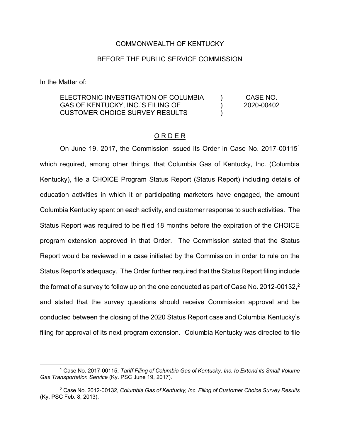### COMMONWEALTH OF KENTUCKY

### BEFORE THE PUBLIC SERVICE COMMISSION

In the Matter of:

 $\overline{\phantom{a}}$ 

ELECTRONIC INVESTIGATION OF COLUMBIA GAS OF KENTUCKY, INC.'S FILING OF CUSTOMER CHOICE SURVEY RESULTS  $\lambda$  $\lambda$  $\lambda$ CASE NO. 2020-00402

#### O R D E R

On June 19, 2017, the Commission issued its Order in Case No. 2017-00115<sup>1</sup> which required, among other things, that Columbia Gas of Kentucky, Inc. (Columbia Kentucky), file a CHOICE Program Status Report (Status Report) including details of education activities in which it or participating marketers have engaged, the amount Columbia Kentucky spent on each activity, and customer response to such activities. The Status Report was required to be filed 18 months before the expiration of the CHOICE program extension approved in that Order. The Commission stated that the Status Report would be reviewed in a case initiated by the Commission in order to rule on the Status Report's adequacy. The Order further required that the Status Report filing include the format of a survey to follow up on the one conducted as part of Case No. 2012-00132,<sup>2</sup> and stated that the survey questions should receive Commission approval and be conducted between the closing of the 2020 Status Report case and Columbia Kentucky's filing for approval of its next program extension. Columbia Kentucky was directed to file

<sup>1</sup> Case No. 2017-00115, *Tariff Filing of Columbia Gas of Kentucky, Inc. to Extend its Small Volume Gas Transportation Service* (Ky. PSC June 19, 2017).

<sup>2</sup> Case No. 2012-00132, *Columbia Gas of Kentucky, Inc. Filing of Customer Choice Survey Results* (Ky. PSC Feb. 8, 2013).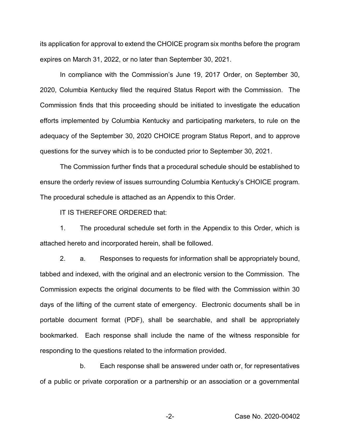its application for approval to extend the CHOICE program six months before the program expires on March 31, 2022, or no later than September 30, 2021.

In compliance with the Commission's June 19, 2017 Order, on September 30, 2020, Columbia Kentucky filed the required Status Report with the Commission. The Commission finds that this proceeding should be initiated to investigate the education efforts implemented by Columbia Kentucky and participating marketers, to rule on the adequacy of the September 30, 2020 CHOICE program Status Report, and to approve questions for the survey which is to be conducted prior to September 30, 2021.

The Commission further finds that a procedural schedule should be established to ensure the orderly review of issues surrounding Columbia Kentucky's CHOICE program. The procedural schedule is attached as an Appendix to this Order.

IT IS THEREFORE ORDERED that:

1. The procedural schedule set forth in the Appendix to this Order, which is attached hereto and incorporated herein, shall be followed.

2. a. Responses to requests for information shall be appropriately bound, tabbed and indexed, with the original and an electronic version to the Commission. The Commission expects the original documents to be filed with the Commission within 30 days of the lifting of the current state of emergency. Electronic documents shall be in portable document format (PDF), shall be searchable, and shall be appropriately bookmarked. Each response shall include the name of the witness responsible for responding to the questions related to the information provided.

b. Each response shall be answered under oath or, for representatives of a public or private corporation or a partnership or an association or a governmental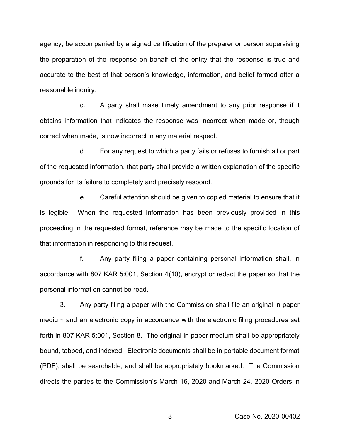agency, be accompanied by a signed certification of the preparer or person supervising the preparation of the response on behalf of the entity that the response is true and accurate to the best of that person's knowledge, information, and belief formed after a reasonable inquiry.

c. A party shall make timely amendment to any prior response if it obtains information that indicates the response was incorrect when made or, though correct when made, is now incorrect in any material respect.

d. For any request to which a party fails or refuses to furnish all or part of the requested information, that party shall provide a written explanation of the specific grounds for its failure to completely and precisely respond.

e. Careful attention should be given to copied material to ensure that it is legible. When the requested information has been previously provided in this proceeding in the requested format, reference may be made to the specific location of that information in responding to this request.

f. Any party filing a paper containing personal information shall, in accordance with 807 KAR 5:001, Section 4(10), encrypt or redact the paper so that the personal information cannot be read.

3. Any party filing a paper with the Commission shall file an original in paper medium and an electronic copy in accordance with the electronic filing procedures set forth in 807 KAR 5:001, Section 8. The original in paper medium shall be appropriately bound, tabbed, and indexed. Electronic documents shall be in portable document format (PDF), shall be searchable, and shall be appropriately bookmarked. The Commission directs the parties to the Commission's March 16, 2020 and March 24, 2020 Orders in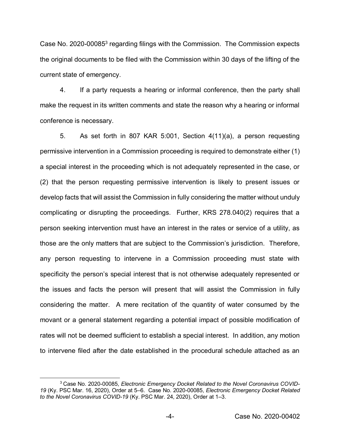Case No. 2020-000853 regarding filings with the Commission. The Commission expects the original documents to be filed with the Commission within 30 days of the lifting of the current state of emergency.

4. If a party requests a hearing or informal conference, then the party shall make the request in its written comments and state the reason why a hearing or informal conference is necessary.

5. As set forth in 807 KAR 5:001, Section 4(11)(a), a person requesting permissive intervention in a Commission proceeding is required to demonstrate either (1) a special interest in the proceeding which is not adequately represented in the case, or (2) that the person requesting permissive intervention is likely to present issues or develop facts that will assist the Commission in fully considering the matter without unduly complicating or disrupting the proceedings. Further, KRS 278.040(2) requires that a person seeking intervention must have an interest in the rates or service of a utility, as those are the only matters that are subject to the Commission's jurisdiction. Therefore, any person requesting to intervene in a Commission proceeding must state with specificity the person's special interest that is not otherwise adequately represented or the issues and facts the person will present that will assist the Commission in fully considering the matter. A mere recitation of the quantity of water consumed by the movant or a general statement regarding a potential impact of possible modification of rates will not be deemed sufficient to establish a special interest. In addition, any motion to intervene filed after the date established in the procedural schedule attached as an

<sup>3</sup> Case No. 2020-00085, *Electronic Emergency Docket Related to the Novel Coronavirus COVID-19* (Ky. PSC Mar. 16, 2020), Order at 5–6. Case No. 2020-00085, *Electronic Emergency Docket Related to the Novel Coronavirus COVID-19* (Ky. PSC Mar. 24, 2020), Order at 1–3.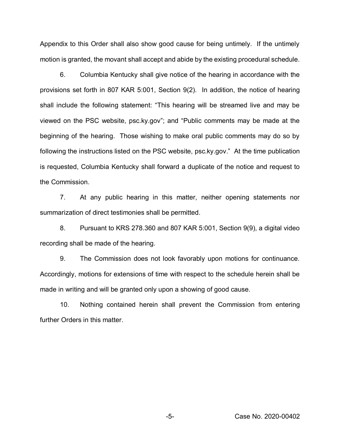Appendix to this Order shall also show good cause for being untimely. If the untimely motion is granted, the movant shall accept and abide by the existing procedural schedule.

6. Columbia Kentucky shall give notice of the hearing in accordance with the provisions set forth in 807 KAR 5:001, Section 9(2). In addition, the notice of hearing shall include the following statement: "This hearing will be streamed live and may be viewed on the PSC website, psc.ky.gov"; and "Public comments may be made at the beginning of the hearing. Those wishing to make oral public comments may do so by following the instructions listed on the PSC website, psc.ky.gov." At the time publication is requested, Columbia Kentucky shall forward a duplicate of the notice and request to the Commission.

7. At any public hearing in this matter, neither opening statements nor summarization of direct testimonies shall be permitted.

8. Pursuant to KRS 278.360 and 807 KAR 5:001, Section 9(9), a digital video recording shall be made of the hearing.

9. The Commission does not look favorably upon motions for continuance. Accordingly, motions for extensions of time with respect to the schedule herein shall be made in writing and will be granted only upon a showing of good cause.

10. Nothing contained herein shall prevent the Commission from entering further Orders in this matter.

-5- Case No. 2020-00402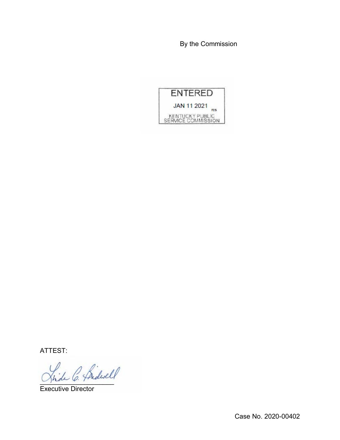By the Commission



ATTEST:

hide C. Pridwell

Executive Director

Case No. 2020-00402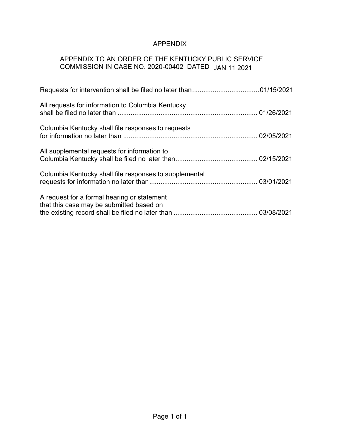# APPENDIX

# APPENDIX TO AN ORDER OF THE KENTUCKY PUBLIC SERVICE COMMISSION IN CASE NO. 2020-00402 DATED JAN 11 2021

| All requests for information to Columbia Kentucky                                       |  |
|-----------------------------------------------------------------------------------------|--|
| Columbia Kentucky shall file responses to requests                                      |  |
| All supplemental requests for information to                                            |  |
| Columbia Kentucky shall file responses to supplemental                                  |  |
| A request for a formal hearing or statement<br>that this case may be submitted based on |  |